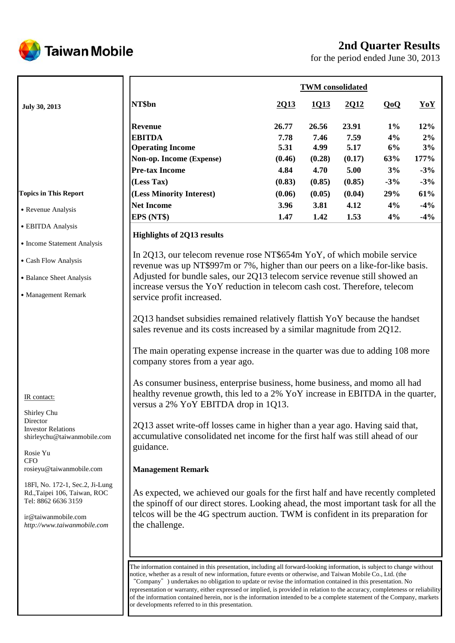

# **2nd Quarter Results**

for the period ended June 30, 2013

|                                                                                                                                              | <b>TWM</b> consolidated                                                                                                                                                                                                                                                                                                                               |                                                   |                                                   |                                                   |                                          |                                           |  |
|----------------------------------------------------------------------------------------------------------------------------------------------|-------------------------------------------------------------------------------------------------------------------------------------------------------------------------------------------------------------------------------------------------------------------------------------------------------------------------------------------------------|---------------------------------------------------|---------------------------------------------------|---------------------------------------------------|------------------------------------------|-------------------------------------------|--|
| July 30, 2013                                                                                                                                | NT\$bn                                                                                                                                                                                                                                                                                                                                                | 2013                                              | 1013                                              | 2012                                              | QoQ                                      | YoY                                       |  |
|                                                                                                                                              | <b>Revenue</b><br><b>EBITDA</b><br><b>Operating Income</b><br>Non-op. Income (Expense)<br><b>Pre-tax Income</b><br>(Less Tax)                                                                                                                                                                                                                         | 26.77<br>7.78<br>5.31<br>(0.46)<br>4.84<br>(0.83) | 26.56<br>7.46<br>4.99<br>(0.28)<br>4.70<br>(0.85) | 23.91<br>7.59<br>5.17<br>(0.17)<br>5.00<br>(0.85) | $1\%$<br>4%<br>6%<br>63%<br>3%<br>$-3\%$ | 12%<br>2%<br>3%<br>177%<br>$-3%$<br>$-3%$ |  |
| <b>Topics in This Report</b>                                                                                                                 | (Less Minority Interest)                                                                                                                                                                                                                                                                                                                              | (0.06)                                            | (0.05)                                            | (0.04)                                            | 29%                                      | 61%                                       |  |
| • Revenue Analysis                                                                                                                           | <b>Net Income</b><br>EPS (NT\$)                                                                                                                                                                                                                                                                                                                       | 3.96<br>1.47                                      | 3.81<br>1.42                                      | 4.12<br>1.53                                      | 4%<br>4%                                 | $-4%$<br>$-4\%$                           |  |
| • EBITDA Analysis                                                                                                                            | <b>Highlights of 2Q13 results</b>                                                                                                                                                                                                                                                                                                                     |                                                   |                                                   |                                                   |                                          |                                           |  |
| • Income Statement Analysis<br>• Cash Flow Analysis<br>• Balance Sheet Analysis<br>• Management Remark                                       | In 2Q13, our telecom revenue rose NT\$654m YoY, of which mobile service<br>revenue was up NT\$997m or 7%, higher than our peers on a like-for-like basis.<br>Adjusted for bundle sales, our 2Q13 telecom service revenue still showed an<br>increase versus the YoY reduction in telecom cash cost. Therefore, telecom<br>service profit increased.   |                                                   |                                                   |                                                   |                                          |                                           |  |
|                                                                                                                                              | 2Q13 handset subsidies remained relatively flattish YoY because the handset<br>sales revenue and its costs increased by a similar magnitude from 2Q12.<br>The main operating expense increase in the quarter was due to adding 108 more<br>company stores from a year ago.                                                                            |                                                   |                                                   |                                                   |                                          |                                           |  |
| IR contact:<br>Shirley Chu                                                                                                                   | As consumer business, enterprise business, home business, and momo all had<br>healthy revenue growth, this led to a 2% YoY increase in EBITDA in the quarter,<br>versus a 2% YoY EBITDA drop in 1Q13.                                                                                                                                                 |                                                   |                                                   |                                                   |                                          |                                           |  |
| Director<br><b>Investor Relations</b><br>shirleychu@taiwanmobile.com<br>Rosie Yu<br><b>CFO</b>                                               | 2Q13 asset write-off losses came in higher than a year ago. Having said that,<br>accumulative consolidated net income for the first half was still ahead of our<br>guidance.                                                                                                                                                                          |                                                   |                                                   |                                                   |                                          |                                           |  |
| rosieyu@taiwanmobile.com                                                                                                                     | <b>Management Remark</b>                                                                                                                                                                                                                                                                                                                              |                                                   |                                                   |                                                   |                                          |                                           |  |
| 18Fl, No. 172-1, Sec.2, Ji-Lung<br>Rd., Taipei 106, Taiwan, ROC<br>Tel: 8862 6636 3159<br>ir@taiwanmobile.com<br>http://www.taiwanmobile.com | As expected, we achieved our goals for the first half and have recently completed<br>the spinoff of our direct stores. Looking ahead, the most important task for all the<br>telcos will be the 4G spectrum auction. TWM is confident in its preparation for<br>the challenge.                                                                        |                                                   |                                                   |                                                   |                                          |                                           |  |
|                                                                                                                                              | The information contained in this presentation, including all forward-looking information, is subject to change without<br>notice, whether as a result of new information, future events or otherwise, and Taiwan Mobile Co., Ltd. (the<br>"Company") undertakes no obligation to update or revise the information contained in this presentation. No |                                                   |                                                   |                                                   |                                          |                                           |  |

"Company") undertakes no obligation to update or revise the information contained in this presentation. No representation or warranty, either expressed or implied, is provided in relation to the accuracy, completeness or reliability of the information contained herein, nor is the information intended to be a complete statement of the Company, markets or developments referred to in this presentation.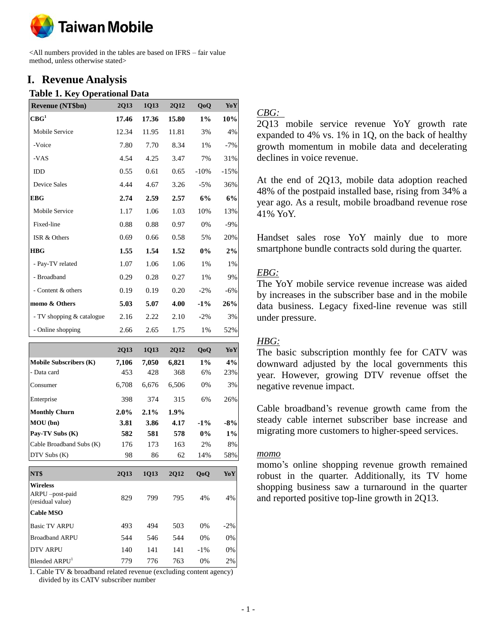

<All numbers provided in the tables are based on IFRS – fair value method, unless otherwise stated>

## **I. Revenue Analysis**

#### **Table 1. Key Operational Data**

| <b>Revenue (NT\$bn)</b>   | 2Q13  | 1Q13  | <b>2Q12</b> | QoQ    | YoY    |
|---------------------------|-------|-------|-------------|--------|--------|
| $\mathbf{CBG}^1$          | 17.46 | 17.36 | 15.80       | $1\%$  | 10%    |
| Mobile Service            | 12.34 | 11.95 | 11.81       | 3%     | 4%     |
| -Voice                    | 7.80  | 7.70  | 8.34        | 1%     | $-7\%$ |
| -VAS                      | 4.54  | 4.25  | 3.47        | 7%     | 31%    |
| <b>IDD</b>                | 0.55  | 0.61  | 0.65        | $-10%$ | $-15%$ |
| <b>Device Sales</b>       | 4.44  | 4.67  | 3.26        | $-5%$  | 36%    |
| <b>EBG</b>                | 2.74  | 2.59  | 2.57        | 6%     | 6%     |
| Mobile Service            | 1.17  | 1.06  | 1.03        | 10%    | 13%    |
| Fixed-line                | 0.88  | 0.88  | 0.97        | 0%     | $-9\%$ |
| ISR & Others              | 0.69  | 0.66  | 0.58        | 5%     | 20%    |
| <b>HBG</b>                | 1.55  | 1.54  | 1.52        | $0\%$  | 2%     |
| - Pay-TV related          | 1.07  | 1.06  | 1.06        | $1\%$  | 1%     |
| - Broadband               | 0.29  | 0.28  | 0.27        | $1\%$  | 9%     |
| - Content & others        | 0.19  | 0.19  | 0.20        | $-2\%$ | $-6\%$ |
| momo & Others             | 5.03  | 5.07  | 4.00        | $-1\%$ | 26%    |
| - TV shopping & catalogue | 2.16  | 2.22  | 2.10        | $-2\%$ | 3%     |
| - Online shopping         | 2.66  | 2.65  | 1.75        | 1%     | 52%    |

|                                                        | <b>2Q13</b> | <b>1Q13</b> | <b>2Q12</b> | QoQ            | YoY    |
|--------------------------------------------------------|-------------|-------------|-------------|----------------|--------|
| <b>Mobile Subscribers (K)</b>                          | 7,106       | 7,050       | 6,821       | $1\%$          | 4%     |
| - Data card                                            | 453         | 428         | 368         | 6%             | 23%    |
| Consumer                                               | 6,708       | 6,676       | 6,506       | 0%             | 3%     |
| Enterprise                                             | 398         | 374         | 315         | 6%             | 26%    |
| <b>Monthly Churn</b>                                   | 2.0%        | $2.1\%$     | 1.9%        |                |        |
| MOU (bn)                                               | 3.81        | 3.86        | 4.17        | $-1\%$         | $-8%$  |
| Pay-TV Subs (K)                                        | 582         | 581         | 578         | $0\%$          | 1%     |
| Cable Broadband Subs (K)                               | 176         | 173         | 163         | 2%             | 8%     |
| DTV Subs (K)                                           | 98          | 86          | 62          | 14%            | 58%    |
| NT\$                                                   | <b>2Q13</b> | 1Q13        | <b>2Q12</b> | 0 <sub>0</sub> | YoY    |
| <b>Wireless</b><br>ARPU -post-paid<br>(residual value) | 829         | 799         | 795         | 4%             | 4%     |
| <b>Cable MSO</b>                                       |             |             |             |                |        |
| <b>Basic TV ARPU</b>                                   | 493         | 494         | 503         | 0%             | $-2\%$ |
| <b>Broadband ARPU</b>                                  | 544         | 546         | 544         | 0%             | 0%     |
| <b>DTV ARPU</b>                                        | 140         | 141         | 141         | $-1\%$         | 0%     |
| Blended ARPU <sup>1</sup>                              | 779         | 776         | 763         | $0\%$          | 2%     |

1. Cable TV & broadband related revenue (excluding content agency) divided by its CATV subscriber number

## *CBG:*

2Q13 mobile service revenue YoY growth rate expanded to 4% vs. 1% in 1Q, on the back of healthy growth momentum in mobile data and decelerating declines in voice revenue.

At the end of 2Q13, mobile data adoption reached 48% of the postpaid installed base, rising from 34% a year ago. As a result, mobile broadband revenue rose 41% YoY.

Handset sales rose YoY mainly due to more smartphone bundle contracts sold during the quarter.

## *EBG:*

The YoY mobile service revenue increase was aided by increases in the subscriber base and in the mobile data business. Legacy fixed-line revenue was still under pressure.

## *HBG:*

The basic subscription monthly fee for CATV was downward adjusted by the local governments this year. However, growing DTV revenue offset the negative revenue impact.

Cable broadband's revenue growth came from the steady cable internet subscriber base increase and migrating more customers to higher-speed services.

#### *momo*

momo's online shopping revenue growth remained robust in the quarter. Additionally, its TV home shopping business saw a turnaround in the quarter and reported positive top-line growth in 2Q13.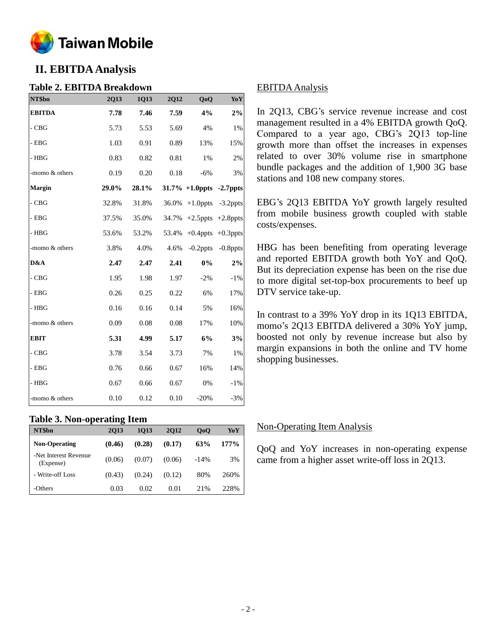

# **II. EBITDA Analysis**

## **Table 2. EBITDA Breakdown**

| NT\$bn         | 2Q13  | 1Q13  | 2Q12  | QoQ                           | YoY                     |
|----------------|-------|-------|-------|-------------------------------|-------------------------|
| <b>EBITDA</b>  | 7.78  | 7.46  | 7.59  | 4%                            | $2\%$                   |
| $-CBG$         | 5.73  | 5.53  | 5.69  | 4%                            | 1%                      |
| $-$ EBG        | 1.03  | 0.91  | 0.89  | 13%                           | 15%                     |
| - $HBG$        | 0.83  | 0.82  | 0.81  | 1%                            | 2%                      |
| -momo & others | 0.19  | 0.20  | 0.18  | $-6%$                         | 3%                      |
| <b>Margin</b>  | 29.0% | 28.1% |       | $31.7\% + 1.0$ ppts -2.7 ppts |                         |
| $-CBG$         | 32.8% | 31.8% | 36.0% | $+1.0$ ppts                   | $-3.2$ ppts             |
| $-$ EBG        | 37.5% | 35.0% |       | $34.7\%$ +2.5 ppts +2.8 ppts  |                         |
| $-$ HBG        | 53.6% | 53.2% | 53.4% |                               | $+0.4$ ppts $+0.3$ ppts |
| -momo & others | 3.8%  | 4.0%  | 4.6%  | $-0.2$ ppts                   | $-0.8$ ppts             |
| D&A            | 2.47  | 2.47  | 2.41  | $0\%$                         | $2\%$                   |
| $-CBG$         | 1.95  | 1.98  | 1.97  | $-2%$                         | $-1\%$                  |
| $-$ EBG        | 0.26  | 0.25  | 0.22  | 6%                            | 17%                     |
| $-$ HBG        | 0.16  | 0.16  | 0.14  | 5%                            | 16%                     |
| -momo & others | 0.09  | 0.08  | 0.08  | 17%                           | 10%                     |
| <b>EBIT</b>    | 5.31  | 4.99  | 5.17  | 6%                            | 3%                      |
| $-CBG$         | 3.78  | 3.54  | 3.73  | 7%                            | 1%                      |
| $-$ EBG        | 0.76  | 0.66  | 0.67  | 16%                           | 14%                     |
| $- HBG$        | 0.67  | 0.66  | 0.67  | 0%                            | $-1%$                   |
| -momo & others | 0.10  | 0.12  | 0.10  | $-20%$                        | $-3%$                   |

#### **Table 3. Non-operating Item**

| NT\$bn                             | . .<br>2013 | 1013   | 2012   | 0 <sub>0</sub> | YoY     |
|------------------------------------|-------------|--------|--------|----------------|---------|
| <b>Non-Operating</b>               | (0.46)      | (0.28) | (0.17) | 63%            | $177\%$ |
| -Net Interest Revenue<br>(Expense) | (0.06)      | (0.07) | (0.06) | $-14%$         | 3%      |
| - Write-off Loss                   | (0.43)      | (0.24) | (0.12) | 80%            | 260%    |
| -Others                            | 0.03        | 0.02   | 0.01   | 2.1%           | 22.8%   |

## EBITDA Analysis

In 2Q13, CBG's service revenue increase and cost management resulted in a 4% EBITDA growth QoQ. Compared to a year ago, CBG's 2Q13 top-line growth more than offset the increases in expenses related to over 30% volume rise in smartphone bundle packages and the addition of 1,900 3G base stations and 108 new company stores.

EBG's 2Q13 EBITDA YoY growth largely resulted from mobile business growth coupled with stable costs/expenses.

HBG has been benefiting from operating leverage and reported EBITDA growth both YoY and QoQ. But its depreciation expense has been on the rise due to more digital set-top-box procurements to beef up DTV service take-up.

In contrast to a 39% YoY drop in its 1Q13 EBITDA, momo's 2Q13 EBITDA delivered a 30% YoY jump, boosted not only by revenue increase but also by margin expansions in both the online and TV home shopping businesses.

#### Non-Operating Item Analysis

QoQ and YoY increases in non-operating expense came from a higher asset write-off loss in 2Q13.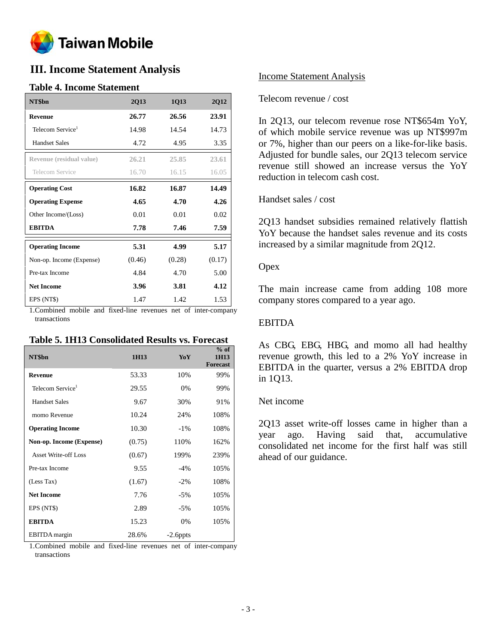

## **III. Income Statement Analysis**

## **Table 4. Income Statement**

| NT\$bn                       | <b>2Q13</b> | 1Q13   | 2Q12   |
|------------------------------|-------------|--------|--------|
| <b>Revenue</b>               | 26.77       | 26.56  | 23.91  |
| Telecom Service <sup>1</sup> | 14.98       | 14.54  | 14.73  |
| <b>Handset Sales</b>         | 4.72        | 4.95   | 3.35   |
| Revenue (residual value)     | 26.21       | 25.85  | 23.61  |
| Telecom Service              | 16.70       | 16.15  | 16.05  |
| <b>Operating Cost</b>        | 16.82       | 16.87  | 14.49  |
| <b>Operating Expense</b>     | 4.65        | 4.70   | 4.26   |
| Other Income/(Loss)          | 0.01        | 0.01   | 0.02   |
| <b>EBITDA</b>                | 7.78        | 7.46   | 7.59   |
| <b>Operating Income</b>      | 5.31        | 4.99   | 5.17   |
| Non-op. Income (Expense)     | (0.46)      | (0.28) | (0.17) |
| Pre-tax Income               | 4.84        | 4.70   | 5.00   |
| <b>Net Income</b>            | 3.96        | 3.81   | 4.12   |
| EPS (NT\$)                   | 1.47        | 1.42   | 1.53   |

1.Combined mobile and fixed-line revenues net of inter-company transactions

#### **Table 5. 1H13 Consolidated Results vs. Forecast**

| NT\$bn                       | 1H13   | YoY         | $%$ of<br>1H13<br><b>Forecast</b> |
|------------------------------|--------|-------------|-----------------------------------|
| <b>Revenue</b>               | 53.33  | 10%         | 99%                               |
| Telecom Service <sup>1</sup> | 29.55  | $0\%$       | 99%                               |
| <b>Handset Sales</b>         | 9.67   | 30%         | 91%                               |
| momo Revenue                 | 10.24  | 24%         | 108%                              |
| <b>Operating Income</b>      | 10.30  | $-1\%$      | 108%                              |
| Non-op. Income (Expense)     | (0.75) | 110%        | 162%                              |
| <b>Asset Write-off Loss</b>  | (0.67) | 199%        | 239%                              |
| Pre-tax Income               | 9.55   | $-4%$       | 105%                              |
| (Less Tax)                   | (1.67) | $-2\%$      | 108%                              |
| <b>Net Income</b>            | 7.76   | $-5%$       | 105%                              |
| EPS (NT\$)                   | 2.89   | $-5%$       | 105%                              |
| <b>EBITDA</b>                | 15.23  | 0%          | 105%                              |
| <b>EBITDA</b> margin         | 28.6%  | $-2.6$ ppts |                                   |

1.Combined mobile and fixed-line revenues net of inter-company transactions

#### Income Statement Analysis

#### Telecom revenue / cost

In 2Q13, our telecom revenue rose NT\$654m YoY, of which mobile service revenue was up NT\$997m or 7%, higher than our peers on a like-for-like basis. Adjusted for bundle sales, our 2Q13 telecom service revenue still showed an increase versus the YoY reduction in telecom cash cost.

#### Handset sales / cost

2Q13 handset subsidies remained relatively flattish YoY because the handset sales revenue and its costs increased by a similar magnitude from 2Q12.

#### **Opex**

The main increase came from adding 108 more company stores compared to a year ago.

#### EBITDA

As CBG, EBG, HBG, and momo all had healthy revenue growth, this led to a 2% YoY increase in EBITDA in the quarter, versus a 2% EBITDA drop in 1Q13.

#### Net income

2Q13 asset write-off losses came in higher than a year ago. Having said that, accumulative consolidated net income for the first half was still ahead of our guidance.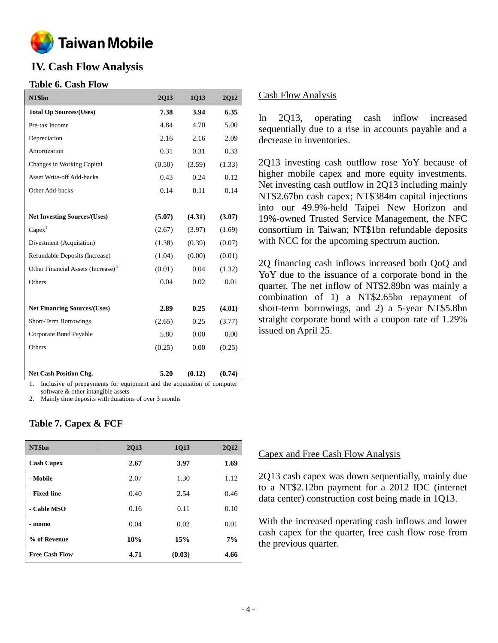

## **IV. Cash Flow Analysis**

## **Table 6. Cash Flow**

| NT\$bn                                                                   | <b>2Q13</b> | 1Q13   | 2Q12   |
|--------------------------------------------------------------------------|-------------|--------|--------|
| <b>Total Op Sources/(Uses)</b>                                           | 7.38        | 3.94   | 6.35   |
| Pre-tax Income                                                           | 4.84        | 4.70   | 5.00   |
| Depreciation                                                             | 2.16        | 2.16   | 2.09   |
| Amortization                                                             | 0.31        | 0.31   | 0.33   |
| Changes in Working Capital                                               | (0.50)      | (3.59) | (1.33) |
| <b>Asset Write-off Add-backs</b>                                         | 0.43        | 0.24   | 0.12   |
| Other Add-backs                                                          | 0.14        | 0.11   | 0.14   |
|                                                                          |             |        |        |
| <b>Net Investing Sources/(Uses)</b>                                      | (5.07)      | (4.31) | (3.07) |
| Capex <sup>1</sup>                                                       | (2.67)      | (3.97) | (1.69) |
| Divestment (Acquisition)                                                 | (1.38)      | (0.39) | (0.07) |
| Refundable Deposits (Increase)                                           | (1.04)      | (0.00) | (0.01) |
| Other Financial Assets (Increase) <sup>2</sup>                           | (0.01)      | 0.04   | (1.32) |
| Others                                                                   | 0.04        | 0.02   | 0.01   |
|                                                                          |             |        |        |
| <b>Net Financing Sources/(Uses)</b>                                      | 2.89        | 0.25   | (4.01) |
| Short-Term Borrowings                                                    | (2.65)      | 0.25   | (3.77) |
| Corporate Bond Payable                                                   | 5.80        | 0.00   | 0.00   |
| Others                                                                   | (0.25)      | 0.00   | (0.25) |
|                                                                          |             |        |        |
| <b>Net Cash Position Chg.</b>                                            | 5.20        | (0.12) | (0.74) |
| 1 Inclusive of prepayments for equipment and the acquisition of computer |             |        |        |

1. Inclusive of prepayments for equipment and the acquisition of computer software & other intangible assets

2. Mainly time deposits with durations of over 3 months

## **Table 7. Capex & FCF**

| NT\$bn                | <b>2Q13</b> | 1Q13   | <b>2Q12</b> |
|-----------------------|-------------|--------|-------------|
| <b>Cash Capex</b>     | 2.67        | 3.97   | 1.69        |
| - Mobile              | 2.07        | 1.30   | 1.12        |
| - Fixed-line          | 0.40        | 2.54   | 0.46        |
| - Cable MSO           | 0.16        | 0.11   | 0.10        |
| - momo                | 0.04        | 0.02   | 0.01        |
| % of Revenue          | 10%         | 15%    | 7%          |
| <b>Free Cash Flow</b> | 4.71        | (0.03) | 4.66        |

#### Cash Flow Analysis

In 2Q13, operating cash inflow increased sequentially due to a rise in accounts payable and a decrease in inventories.

2Q13 investing cash outflow rose YoY because of higher mobile capex and more equity investments. Net investing cash outflow in 2Q13 including mainly NT\$2.67bn cash capex; NT\$384m capital injections into our 49.9%-held Taipei New Horizon and 19%-owned Trusted Service Management, the NFC consortium in Taiwan; NT\$1bn refundable deposits with NCC for the upcoming spectrum auction.

2Q financing cash inflows increased both QoQ and YoY due to the issuance of a corporate bond in the quarter. The net inflow of NT\$2.89bn was mainly a combination of 1) a NT\$2.65bn repayment of short-term borrowings, and 2) a 5-year NT\$5.8bn straight corporate bond with a coupon rate of 1.29% issued on April 25.

#### Capex and Free Cash Flow Analysis

2Q13 cash capex was down sequentially, mainly due to a NT\$2.12bn payment for a 2012 IDC (internet data center) construction cost being made in 1Q13.

With the increased operating cash inflows and lower cash capex for the quarter, free cash flow rose from the previous quarter.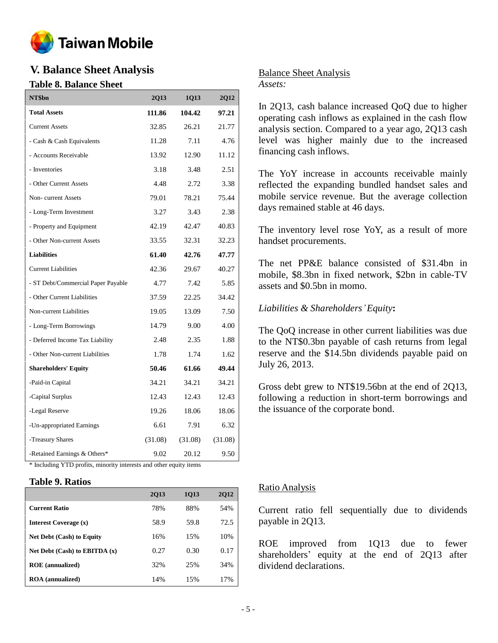

# **V. Balance Sheet Analysis**

## **Table 8. Balance Sheet**

| NT\$bn                                                             | <b>2Q13</b> | 1Q13    | 2Q12    |  |  |  |
|--------------------------------------------------------------------|-------------|---------|---------|--|--|--|
| <b>Total Assets</b>                                                | 111.86      | 104.42  | 97.21   |  |  |  |
| <b>Current Assets</b>                                              | 32.85       | 26.21   | 21.77   |  |  |  |
| - Cash & Cash Equivalents                                          | 11.28       | 7.11    | 4.76    |  |  |  |
| - Accounts Receivable                                              | 13.92       | 12.90   | 11.12   |  |  |  |
| - Inventories                                                      | 3.18        | 3.48    | 2.51    |  |  |  |
| - Other Current Assets                                             | 4.48        | 2.72    | 3.38    |  |  |  |
| Non-current Assets                                                 | 79.01       | 78.21   | 75.44   |  |  |  |
| - Long-Term Investment                                             | 3.27        | 3.43    | 2.38    |  |  |  |
| - Property and Equipment                                           | 42.19       | 42.47   | 40.83   |  |  |  |
| - Other Non-current Assets                                         | 33.55       | 32.31   | 32.23   |  |  |  |
| <b>Liabilities</b>                                                 | 61.40       | 42.76   | 47.77   |  |  |  |
| <b>Current Liabilities</b>                                         | 42.36       | 29.67   | 40.27   |  |  |  |
| - ST Debt/Commercial Paper Payable                                 | 4.77        | 7.42    | 5.85    |  |  |  |
| - Other Current Liabilities                                        | 37.59       | 22.25   | 34.42   |  |  |  |
| Non-current Liabilities                                            | 19.05       | 13.09   | 7.50    |  |  |  |
| - Long-Term Borrowings                                             | 14.79       | 9.00    | 4.00    |  |  |  |
| - Deferred Income Tax Liability                                    | 2.48        | 2.35    | 1.88    |  |  |  |
| - Other Non-current Liabilities                                    | 1.78        | 1.74    | 1.62    |  |  |  |
| <b>Shareholders' Equity</b>                                        | 50.46       | 61.66   | 49.44   |  |  |  |
| -Paid-in Capital                                                   | 34.21       | 34.21   | 34.21   |  |  |  |
| -Capital Surplus                                                   | 12.43       | 12.43   | 12.43   |  |  |  |
| -Legal Reserve                                                     | 19.26       | 18.06   | 18.06   |  |  |  |
| -Un-appropriated Earnings                                          | 6.61        | 7.91    | 6.32    |  |  |  |
| -Treasury Shares                                                   | (31.08)     | (31.08) | (31.08) |  |  |  |
| -Retained Earnings & Others*                                       | 9.02        | 20.12   | 9.50    |  |  |  |
| * Including YTD profits, minority interests and other equity items |             |         |         |  |  |  |

## **Table 9. Ratios**

|                                  | 2013 | 1013 | <b>2012</b> |
|----------------------------------|------|------|-------------|
| <b>Current Ratio</b>             | 78%  | 88%  | 54%         |
| Interest Coverage (x)            | 58.9 | 59.8 | 72.5        |
| <b>Net Debt (Cash) to Equity</b> | 16%  | 15%  | 10%         |
| Net Debt (Cash) to EBITDA $(x)$  | 0.27 | 0.30 | 0.17        |
| <b>ROE</b> (annualized)          | 32%  | 25%  | 34%         |
| <b>ROA</b> (annualized)          | 14%  | 15%  | 17%         |

## Balance Sheet Analysis *Assets:*

In 2Q13, cash balance increased QoQ due to higher operating cash inflows as explained in the cash flow analysis section. Compared to a year ago, 2Q13 cash level was higher mainly due to the increased financing cash inflows.

The YoY increase in accounts receivable mainly reflected the expanding bundled handset sales and mobile service revenue. But the average collection days remained stable at 46 days.

The inventory level rose YoY, as a result of more handset procurements.

The net PP&E balance consisted of \$31.4bn in mobile, \$8.3bn in fixed network, \$2bn in cable-TV assets and \$0.5bn in momo.

*Liabilities & Shareholders'Equity***:**

The QoQ increase in other current liabilities was due to the NT\$0.3bn payable of cash returns from legal reserve and the \$14.5bn dividends payable paid on July 26, 2013.

Gross debt grew to NT\$19.56bn at the end of 2Q13, following a reduction in short-term borrowings and the issuance of the corporate bond.

## Ratio Analysis

Current ratio fell sequentially due to dividends payable in 2Q13.

ROE improved from 1Q13 due to fewer shareholders' equity at the end of 2Q13 after dividend declarations.